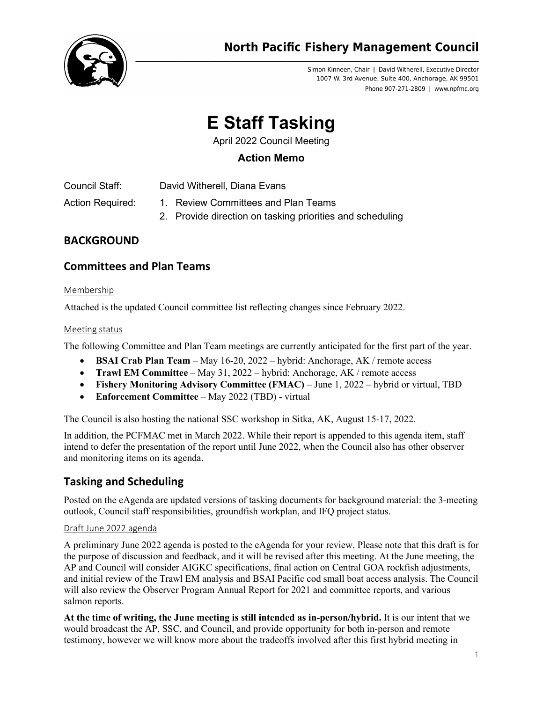

Simon Kinneen, Chair | David Witherell, Executive Director 1007 W. 3rd Avenue, Suite 400, Anchorage, AK 99501 Phone 907-271-2809 | www.npfmc.org

# **E Staff Tasking**

April 2022 Council Meeting

## **Action Memo**

Council Staff: David Witherell, Diana Evans

- Action Required: 1. Review Committees and Plan Teams
	- 2. Provide direction on tasking priorities and scheduling

## **BACKGROUND**

## **Committees and Plan Teams**

#### Membership

Attached is the updated Council committee list reflecting changes since February 2022.

#### Meeting status

The following Committee and Plan Team meetings are currently anticipated for the first part of the year.

- **BSAI Crab Plan Team** May 16-20, 2022 hybrid: Anchorage, AK / remote access
- **Trawl EM Committee** May 31, 2022 hybrid: Anchorage, AK / remote access
- **Fishery Monitoring Advisory Committee (FMAC)** June 1, 2022 hybrid or virtual, TBD
- **Enforcement Committee**  May 2022 (TBD) virtual

The Council is also hosting the national SSC workshop in Sitka, AK, August 15-17, 2022.

In addition, the PCFMAC met in March 2022. While their report is appended to this agenda item, staff intend to defer the presentation of the report until June 2022, when the Council also has other observer and monitoring items on its agenda.

## **Tasking and Scheduling**

Posted on the eAgenda are updated versions of tasking documents for background material: the 3-meeting outlook, Council staff responsibilities, groundfish workplan, and IFQ project status.

#### Draft June 2022 agenda

A preliminary June 2022 agenda is posted to the eAgenda for your review. Please note that this draft is for the purpose of discussion and feedback, and it will be revised after this meeting. At the June meeting, the AP and Council will consider AIGKC specifications, final action on Central GOA rockfish adjustments, and initial review of the Trawl EM analysis and BSAI Pacific cod small boat access analysis. The Council will also review the Observer Program Annual Report for 2021 and committee reports, and various salmon reports.

**At the time of writing, the June meeting is still intended as in-person/hybrid.** It is our intent that we would broadcast the AP, SSC, and Council, and provide opportunity for both in-person and remote testimony, however we will know more about the tradeoffs involved after this first hybrid meeting in